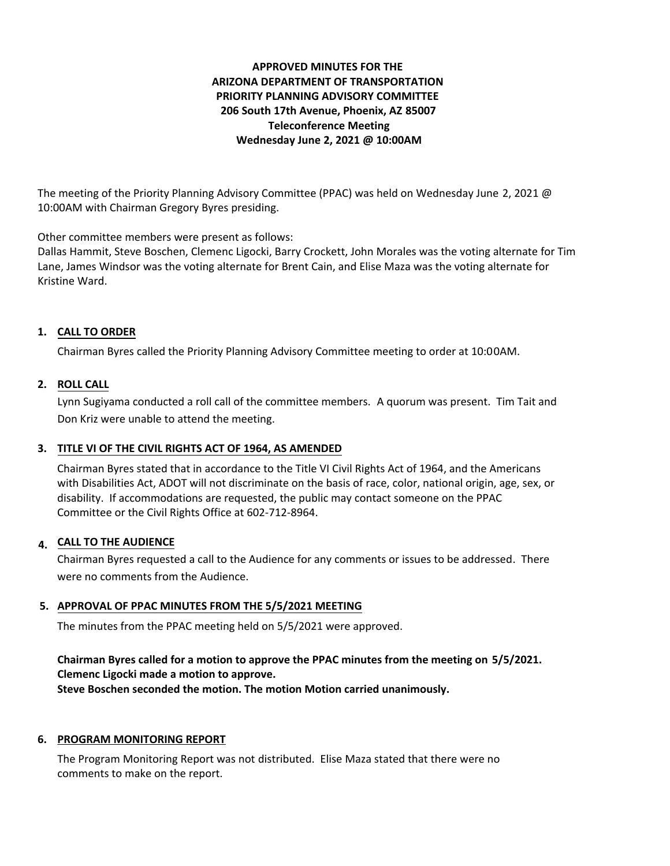# **APPROVED MINUTES FOR THE ARIZONA DEPARTMENT OF TRANSPORTATION PRIORITY PLANNING ADVISORY COMMITTEE 206 South 17th Avenue, Phoenix, AZ 85007 Teleconference Meeting Wednesday June 2, 2021 @ 10:00AM**

The meeting of the Priority Planning Advisory Committee (PPAC) was held on Wednesday June 2, 2021 @ 10:00AM with Chairman Gregory Byres presiding.

Other committee members were present as follows:

Dallas Hammit, Steve Boschen, Clemenc Ligocki, Barry Crockett, John Morales was the voting alternate for Tim Lane, James Windsor was the voting alternate for Brent Cain, and Elise Maza was the voting alternate for Kristine Ward.

## **CALL TO ORDER 1.**

Chairman Byres called the Priority Planning Advisory Committee meeting to order at 10:00AM.

### **ROLL CALL 2.**

Lynn Sugiyama conducted a roll call of the committee members. A quorum was present. Tim Tait and Don Kriz were unable to attend the meeting.

#### **TITLE VI OF THE CIVIL RIGHTS ACT OF 1964, AS AMENDED 3.**

Chairman Byres stated that in accordance to the Title VI Civil Rights Act of 1964, and the Americans with Disabilities Act, ADOT will not discriminate on the basis of race, color, national origin, age, sex, or disability. If accommodations are requested, the public may contact someone on the PPAC Committee or the Civil Rights Office at 602-712-8964.

# **CALL TO THE AUDIENCE 4.**

Chairman Byres requested a call to the Audience for any comments or issues to be addressed. There were no comments from the Audience.

### **APPROVAL OF PPAC MINUTES FROM THE 5/5/2021 MEETING 5.**

The minutes from the PPAC meeting held on 5/5/2021 were approved.

### **Chairman Byres called for a motion to approve the PPAC minutes from the meeting on 5/5/2021. Clemenc Ligocki made a motion to approve.**

**Steve Boschen seconded the motion. The motion Motion carried unanimously.**

# **6. PROGRAM MONITORING REPORT**

The Program Monitoring Report was not distributed. Elise Maza stated that there were no comments to make on the report.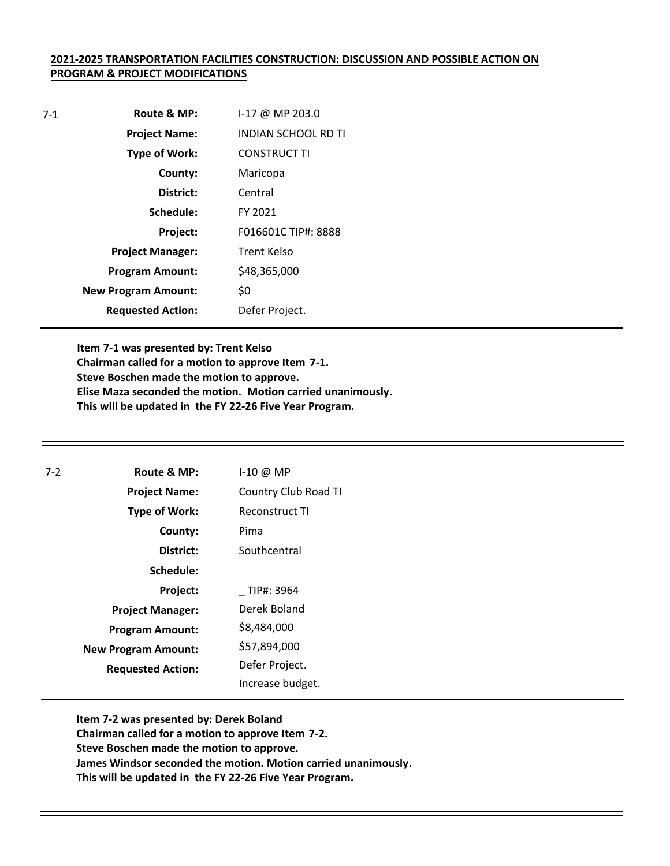#### **2021-2025 TRANSPORTATION FACILITIES CONSTRUCTION: DISCUSSION AND POSSIBLE ACTION ON PROGRAM & PROJECT MODIFICATIONS**

| $7-1$ | Route & MP:                | 1-17 @ MP 203.0            |
|-------|----------------------------|----------------------------|
|       | <b>Project Name:</b>       | <b>INDIAN SCHOOL RD TI</b> |
|       | <b>Type of Work:</b>       | <b>CONSTRUCT TI</b>        |
|       | County:                    | Maricopa                   |
|       | District:                  | Central                    |
|       | Schedule:                  | FY 2021                    |
|       | Project:                   | F016601C TIP#: 8888        |
|       | <b>Project Manager:</b>    | Trent Kelso                |
|       | <b>Program Amount:</b>     | \$48,365,000               |
|       | <b>New Program Amount:</b> | \$0                        |
|       | <b>Requested Action:</b>   | Defer Project.             |

**Item 7-1 was presented by: Trent Kelso Chairman called for a motion to approve Item 7-1. Steve Boschen made the motion to approve. Elise Maza seconded the motion. Motion carried unanimously. This will be updated in the FY 22-26 Five Year Program.** 

| $7-2$ | Route & MP:                | $I-10$ @ MP           |
|-------|----------------------------|-----------------------|
|       | <b>Project Name:</b>       | Country Club Road TI  |
|       | <b>Type of Work:</b>       | <b>Reconstruct TI</b> |
|       | County:                    | Pima                  |
|       | District:                  | Southcentral          |
|       | Schedule:                  |                       |
|       | Project:                   | TIP#: 3964            |
|       | <b>Project Manager:</b>    | Derek Boland          |
|       | <b>Program Amount:</b>     | \$8,484,000           |
|       | <b>New Program Amount:</b> | \$57,894,000          |
|       | <b>Requested Action:</b>   | Defer Project.        |
|       |                            | Increase budget.      |

**Item 7-2 was presented by: Derek Boland Chairman called for a motion to approve Item 7-2. Steve Boschen made the motion to approve. James Windsor seconded the motion. Motion carried unanimously. This will be updated in the FY 22-26 Five Year Program.**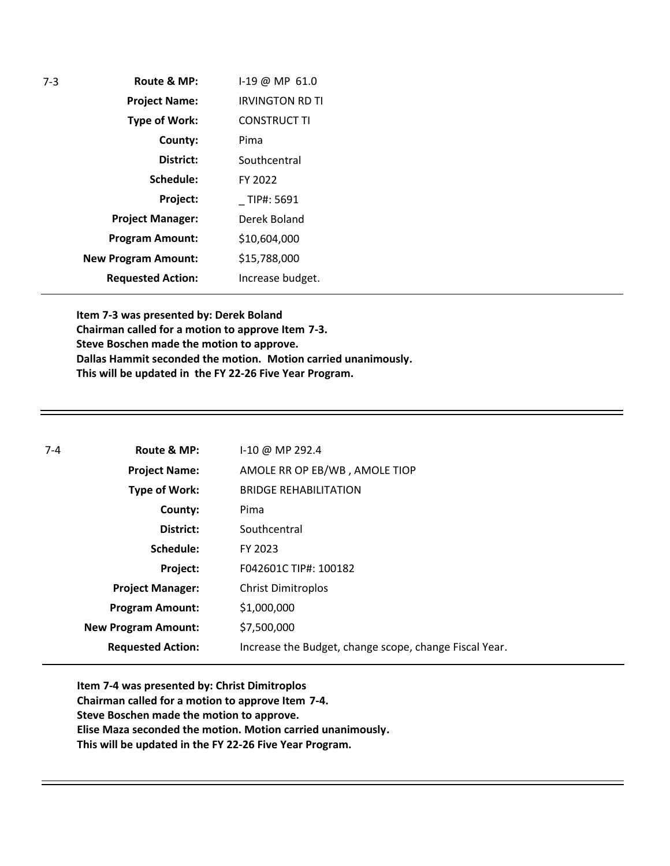| $7 - 3$ | Route & MP:                | 1-19 @ MP 61.0         |
|---------|----------------------------|------------------------|
|         | <b>Project Name:</b>       | <b>IRVINGTON RD TI</b> |
|         | <b>Type of Work:</b>       | <b>CONSTRUCT TI</b>    |
|         | County:                    | Pima                   |
|         | District:                  | Southcentral           |
|         | Schedule:                  | FY 2022                |
|         | Project:                   | TIP#: 5691             |
|         | <b>Project Manager:</b>    | Derek Boland           |
|         | <b>Program Amount:</b>     | \$10,604,000           |
|         | <b>New Program Amount:</b> | \$15,788,000           |
|         | <b>Requested Action:</b>   | Increase budget.       |

**Item 7-3 was presented by: Derek Boland Chairman called for a motion to approve Item 7-3. Steve Boschen made the motion to approve. Dallas Hammit seconded the motion. Motion carried unanimously. This will be updated in the FY 22-26 Five Year Program.** 

| $7 - 4$ | Route & MP:                | $1-10 \omega$ MP 292.4                                 |
|---------|----------------------------|--------------------------------------------------------|
|         | <b>Project Name:</b>       | AMOLE RR OP EB/WB, AMOLE TIOP                          |
|         | Type of Work:              | <b>BRIDGE REHABILITATION</b>                           |
|         | County:                    | Pima                                                   |
|         | District:                  | Southcentral                                           |
|         | Schedule:                  | FY 2023                                                |
|         | Project:                   | F042601C TIP#: 100182                                  |
|         | <b>Project Manager:</b>    | <b>Christ Dimitroplos</b>                              |
|         | <b>Program Amount:</b>     | \$1,000,000                                            |
|         | <b>New Program Amount:</b> | \$7,500,000                                            |
|         | <b>Requested Action:</b>   | Increase the Budget, change scope, change Fiscal Year. |

**Item 7-4 was presented by: Christ Dimitroplos Chairman called for a motion to approve Item 7-4. Steve Boschen made the motion to approve. Elise Maza seconded the motion. Motion carried unanimously. This will be updated in the FY 22-26 Five Year Program.**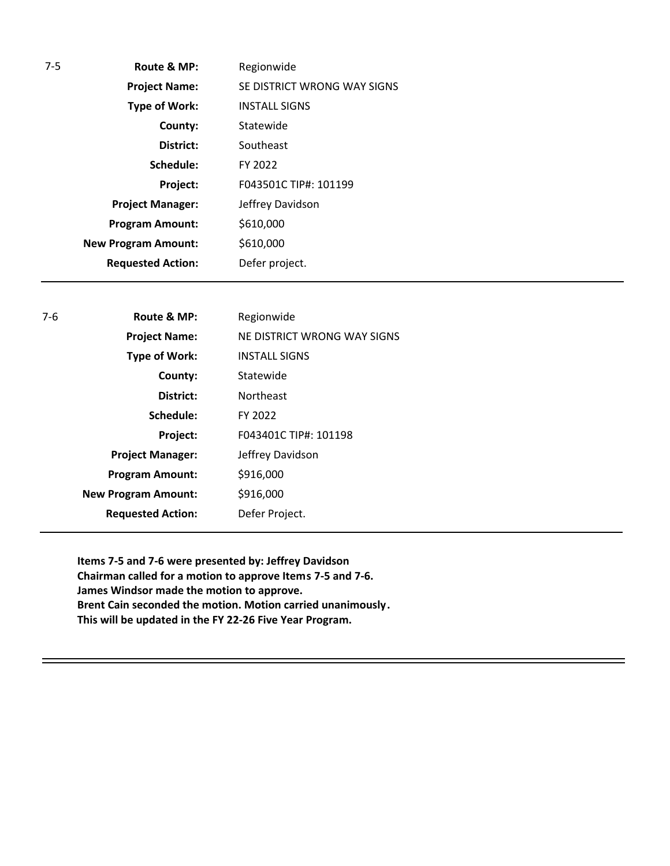| $7-5$ | Route & MP:                | Regionwide                  |
|-------|----------------------------|-----------------------------|
|       | <b>Project Name:</b>       | SE DISTRICT WRONG WAY SIGNS |
|       | <b>Type of Work:</b>       | <b>INSTALL SIGNS</b>        |
|       | County:                    | Statewide                   |
|       | District:                  | Southeast                   |
|       | Schedule:                  | FY 2022                     |
|       | Project:                   | F043501C TIP#: 101199       |
|       | <b>Project Manager:</b>    | Jeffrey Davidson            |
|       | <b>Program Amount:</b>     | \$610,000                   |
|       | <b>New Program Amount:</b> | \$610,000                   |
|       | <b>Requested Action:</b>   | Defer project.              |

| $7-6$ | Route & MP:                | Regionwide                  |
|-------|----------------------------|-----------------------------|
|       | <b>Project Name:</b>       | NE DISTRICT WRONG WAY SIGNS |
|       | <b>Type of Work:</b>       | <b>INSTALL SIGNS</b>        |
|       | County:                    | Statewide                   |
|       | District:                  | <b>Northeast</b>            |
|       | Schedule:                  | FY 2022                     |
|       | Project:                   | F043401C TIP#: 101198       |
|       | <b>Project Manager:</b>    | Jeffrey Davidson            |
|       | <b>Program Amount:</b>     | \$916,000                   |
|       | <b>New Program Amount:</b> | \$916,000                   |
|       | <b>Requested Action:</b>   | Defer Project.              |
|       |                            |                             |

**Items 7-5 and 7-6 were presented by: Jeffrey Davidson Chairman called for a motion to approve Items 7-5 and 7-6. James Windsor made the motion to approve. Brent Cain seconded the motion. Motion carried unanimously. This will be updated in the FY 22-26 Five Year Program.**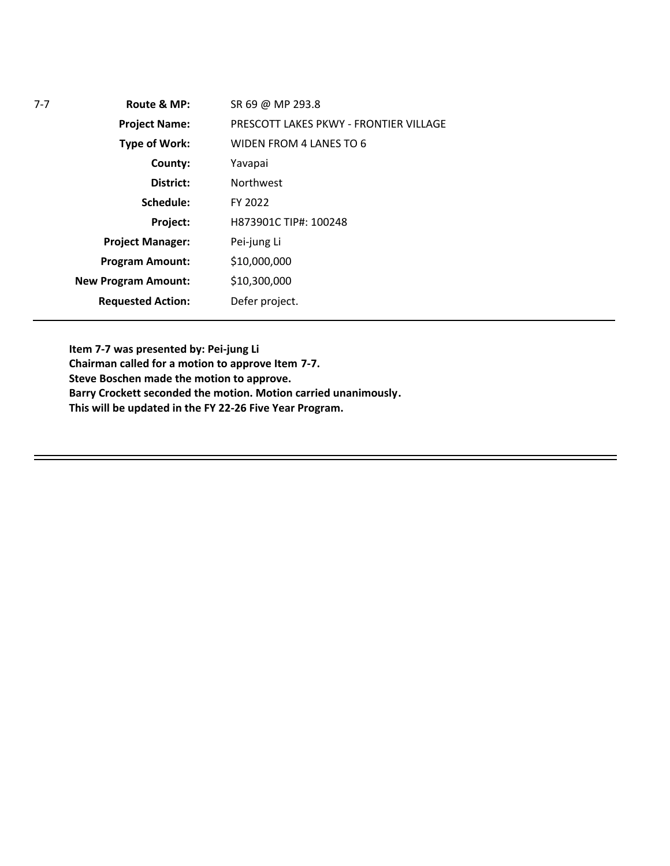| $7 - 7$ | Route & MP:                | SR 69 @ MP 293.8                       |
|---------|----------------------------|----------------------------------------|
|         | <b>Project Name:</b>       | PRESCOTT LAKES PKWY - FRONTIER VILLAGE |
|         | <b>Type of Work:</b>       | WIDEN FROM 4 LANES TO 6                |
|         | County:                    | Yavapai                                |
|         | District:                  | <b>Northwest</b>                       |
|         | Schedule:                  | FY 2022                                |
|         | Project:                   | H873901C TIP#: 100248                  |
|         | <b>Project Manager:</b>    | Pei-jung Li                            |
|         | <b>Program Amount:</b>     | \$10,000,000                           |
|         | <b>New Program Amount:</b> | \$10,300,000                           |
|         | <b>Requested Action:</b>   | Defer project.                         |
|         |                            |                                        |

**Item 7-7 was presented by: Pei-jung Li**

**Chairman called for a motion to approve Item 7-7.**

**Steve Boschen made the motion to approve.**

**Barry Crockett seconded the motion. Motion carried unanimously.**

**This will be updated in the FY 22-26 Five Year Program.**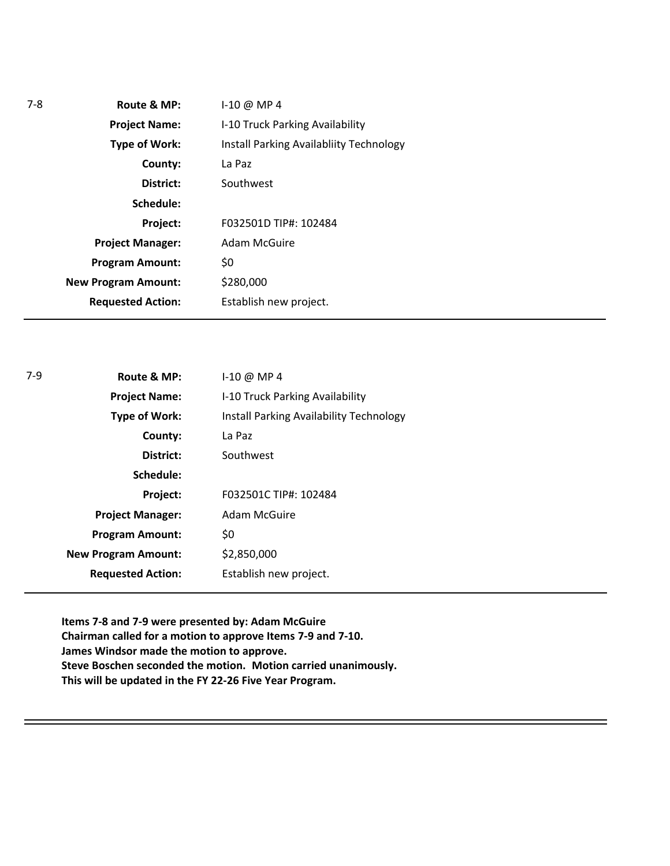| $7-8$ | Route & MP:                | $1-10 \omega$ MP 4                      |  |
|-------|----------------------------|-----------------------------------------|--|
|       | <b>Project Name:</b>       | I-10 Truck Parking Availability         |  |
|       | <b>Type of Work:</b>       | Install Parking Availabliity Technology |  |
|       | County:                    | La Paz                                  |  |
|       | District:                  | Southwest                               |  |
|       | Schedule:                  |                                         |  |
|       | Project:                   | F032501D TIP#: 102484                   |  |
|       | <b>Project Manager:</b>    | Adam McGuire                            |  |
|       | <b>Program Amount:</b>     | \$0                                     |  |
|       | <b>New Program Amount:</b> | \$280,000                               |  |
|       | <b>Requested Action:</b>   | Establish new project.                  |  |

| Route & MP:                | $1-10$ @ MP 4                           |
|----------------------------|-----------------------------------------|
| <b>Project Name:</b>       | I-10 Truck Parking Availability         |
| <b>Type of Work:</b>       | Install Parking Availability Technology |
| County:                    | La Paz                                  |
| District:                  | Southwest                               |
| Schedule:                  |                                         |
| Project:                   | F032501C TIP#: 102484                   |
| <b>Project Manager:</b>    | <b>Adam McGuire</b>                     |
| <b>Program Amount:</b>     | \$0                                     |
| <b>New Program Amount:</b> | \$2,850,000                             |
| <b>Requested Action:</b>   | Establish new project.                  |
|                            |                                         |

**Items 7-8 and 7-9 were presented by: Adam McGuire Chairman called for a motion to approve Items 7-9 and 7-10. James Windsor made the motion to approve. Steve Boschen seconded the motion. Motion carried unanimously. This will be updated in the FY 22-26 Five Year Program.** 

7-9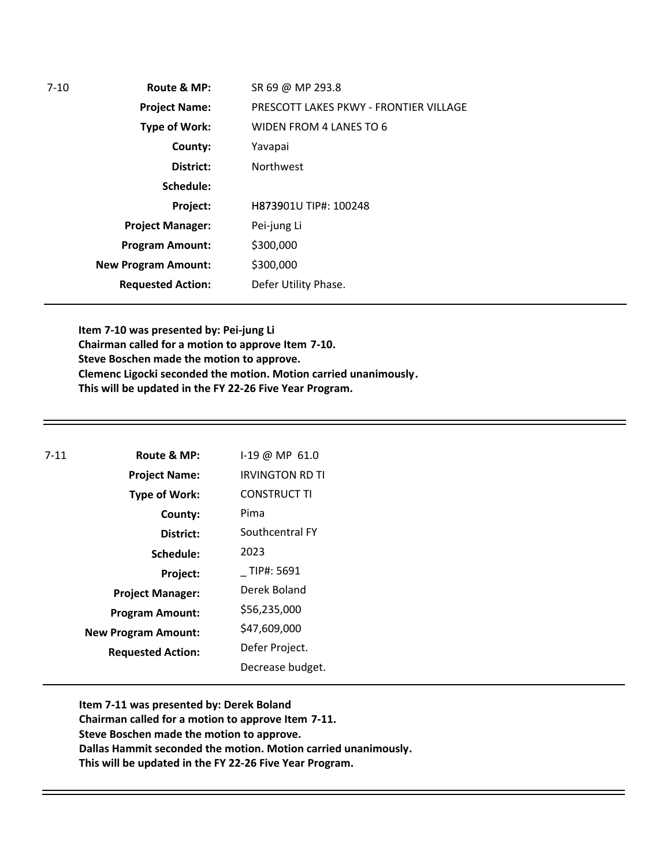| $7 - 10$ | Route & MP:                | SR 69 @ MP 293.8                       |
|----------|----------------------------|----------------------------------------|
|          | <b>Project Name:</b>       | PRESCOTT LAKES PKWY - FRONTIER VILLAGE |
|          | <b>Type of Work:</b>       | WIDEN FROM 4 LANES TO 6                |
|          | County:                    | Yavapai                                |
|          | District:                  | <b>Northwest</b>                       |
|          | Schedule:                  |                                        |
|          | Project:                   | H873901U TIP#: 100248                  |
|          | <b>Project Manager:</b>    | Pei-jung Li                            |
|          | <b>Program Amount:</b>     | \$300,000                              |
|          | <b>New Program Amount:</b> | \$300,000                              |
|          | <b>Requested Action:</b>   | Defer Utility Phase.                   |

**Item 7-10 was presented by: Pei-jung Li Chairman called for a motion to approve Item 7-10. Steve Boschen made the motion to approve. Clemenc Ligocki seconded the motion. Motion carried unanimously. This will be updated in the FY 22-26 Five Year Program.**

| 7-11 | Route & MP:                | I-19 @ MP 61.0         |
|------|----------------------------|------------------------|
|      | <b>Project Name:</b>       | <b>IRVINGTON RD TI</b> |
|      | <b>Type of Work:</b>       | <b>CONSTRUCT TI</b>    |
|      | County:                    | Pima                   |
|      | District:                  | Southcentral FY        |
|      | Schedule:                  | 2023                   |
|      | Project:                   | TIP#: 5691             |
|      | <b>Project Manager:</b>    | Derek Boland           |
|      | <b>Program Amount:</b>     | \$56,235,000           |
|      | <b>New Program Amount:</b> | \$47,609,000           |
|      | <b>Requested Action:</b>   | Defer Project.         |
|      |                            | Decrease budget.       |

**Item 7-11 was presented by: Derek Boland Chairman called for a motion to approve Item 7-11. Steve Boschen made the motion to approve. Dallas Hammit seconded the motion. Motion carried unanimously. This will be updated in the FY 22-26 Five Year Program.**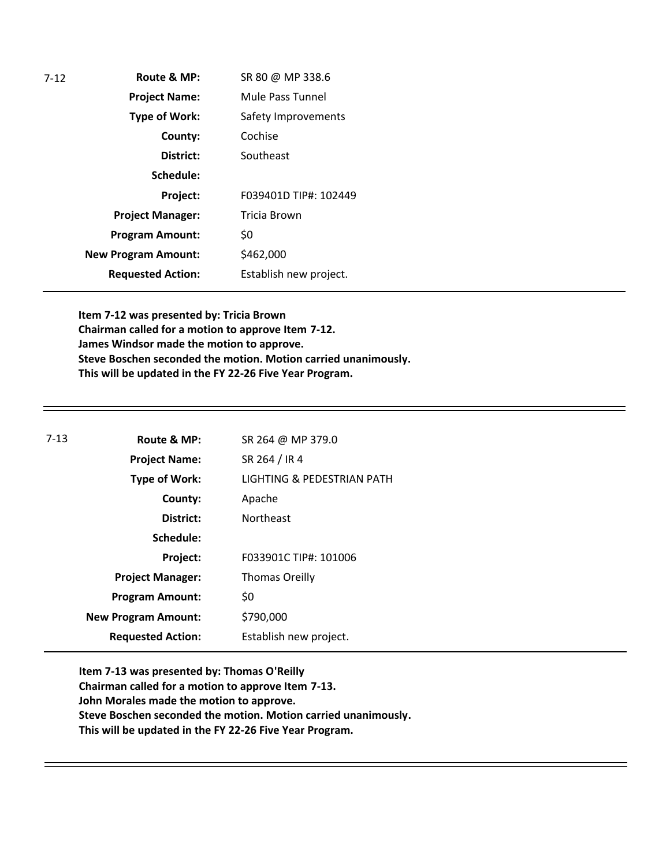| $7-12$ | Route & MP:                | SR 80 @ MP 338.6       |
|--------|----------------------------|------------------------|
|        | <b>Project Name:</b>       | Mule Pass Tunnel       |
|        | <b>Type of Work:</b>       | Safety Improvements    |
|        | County:                    | Cochise                |
|        | District:                  | Southeast              |
|        | Schedule:                  |                        |
|        | Project:                   | F039401D TIP#: 102449  |
|        | <b>Project Manager:</b>    | Tricia Brown           |
|        | <b>Program Amount:</b>     | \$0                    |
|        | <b>New Program Amount:</b> | \$462,000              |
|        | <b>Requested Action:</b>   | Establish new project. |

**Item 7-12 was presented by: Tricia Brown Chairman called for a motion to approve Item 7-12. James Windsor made the motion to approve. Steve Boschen seconded the motion. Motion carried unanimously. This will be updated in the FY 22-26 Five Year Program.** 

| $7-13$ | Route & MP:                | SR 264 @ MP 379.0          |
|--------|----------------------------|----------------------------|
|        | <b>Project Name:</b>       | SR 264 / IR 4              |
|        | <b>Type of Work:</b>       | LIGHTING & PEDESTRIAN PATH |
|        | County:                    | Apache                     |
|        | District:                  | <b>Northeast</b>           |
|        | Schedule:                  |                            |
|        | Project:                   | F033901C TIP#: 101006      |
|        | <b>Project Manager:</b>    | <b>Thomas Oreilly</b>      |
|        | <b>Program Amount:</b>     | \$0                        |
|        | <b>New Program Amount:</b> | \$790,000                  |
|        | <b>Requested Action:</b>   | Establish new project.     |
|        |                            |                            |

**Item 7-13 was presented by: Thomas O'Reilly Chairman called for a motion to approve Item 7-13. John Morales made the motion to approve. Steve Boschen seconded the motion. Motion carried unanimously. This will be updated in the FY 22-26 Five Year Program.**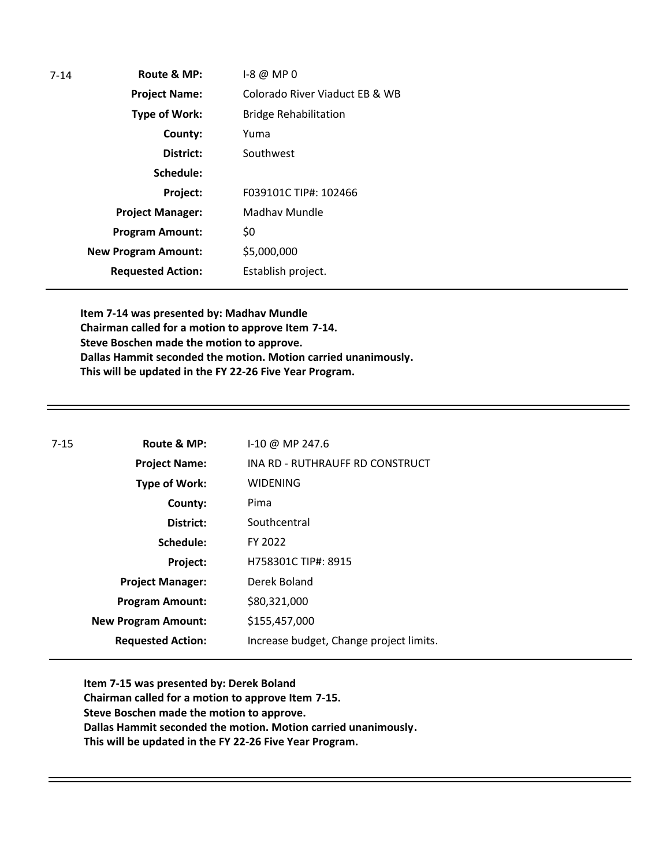| Route & MP:                | $-8@MP0$                       |
|----------------------------|--------------------------------|
| <b>Project Name:</b>       | Colorado River Viaduct EB & WB |
| <b>Type of Work:</b>       | <b>Bridge Rehabilitation</b>   |
| County:                    | Yuma                           |
| District:                  | Southwest                      |
| Schedule:                  |                                |
| Project:                   | F039101C TIP#: 102466          |
| <b>Project Manager:</b>    | Madhay Mundle                  |
| <b>Program Amount:</b>     | \$0                            |
| <b>New Program Amount:</b> | \$5,000,000                    |
| <b>Requested Action:</b>   | Establish project.             |
|                            |                                |

**Item 7-14 was presented by: Madhav Mundle Chairman called for a motion to approve Item 7-14. Steve Boschen made the motion to approve. Dallas Hammit seconded the motion. Motion carried unanimously. This will be updated in the FY 22-26 Five Year Program.** 

| $7 - 15$ | Route & MP:                | $1-10 \omega$ MP 247.6                  |
|----------|----------------------------|-----------------------------------------|
|          | <b>Project Name:</b>       | INA RD - RUTHRAUFF RD CONSTRUCT         |
|          | <b>Type of Work:</b>       | <b>WIDENING</b>                         |
|          | County:                    | Pima                                    |
|          | District:                  | Southcentral                            |
|          | Schedule:                  | FY 2022                                 |
|          | Project:                   | H758301C TIP#: 8915                     |
|          | <b>Project Manager:</b>    | Derek Boland                            |
|          | <b>Program Amount:</b>     | \$80,321,000                            |
|          | <b>New Program Amount:</b> | \$155,457,000                           |
|          | <b>Requested Action:</b>   | Increase budget, Change project limits. |

**Item 7-15 was presented by: Derek Boland Chairman called for a motion to approve Item 7-15. Steve Boschen made the motion to approve. Dallas Hammit seconded the motion. Motion carried unanimously. This will be updated in the FY 22-26 Five Year Program.**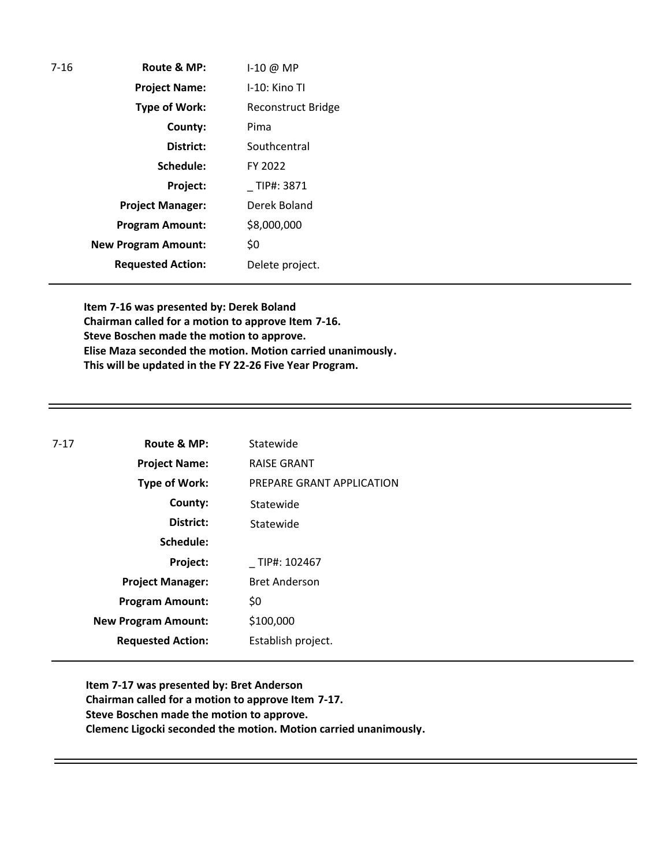| $7-16$ | Route & MP:                | 1-10 @ MP          |
|--------|----------------------------|--------------------|
|        | <b>Project Name:</b>       | $I-10$ : Kino Tl   |
|        | <b>Type of Work:</b>       | Reconstruct Bridge |
|        | County:                    | Pima               |
|        | District:                  | Southcentral       |
|        | Schedule:                  | FY 2022            |
|        | Project:                   | TIP#: 3871         |
|        | <b>Project Manager:</b>    | Derek Boland       |
|        | <b>Program Amount:</b>     | \$8,000,000        |
|        | <b>New Program Amount:</b> | \$0                |
|        | <b>Requested Action:</b>   | Delete project.    |

**Item 7-16 was presented by: Derek Boland Chairman called for a motion to approve Item 7-16. Steve Boschen made the motion to approve. Elise Maza seconded the motion. Motion carried unanimously. This will be updated in the FY 22-26 Five Year Program.** 

| $7 - 17$ | Route & MP:                | Statewide                 |
|----------|----------------------------|---------------------------|
|          | <b>Project Name:</b>       | <b>RAISE GRANT</b>        |
|          | <b>Type of Work:</b>       | PREPARE GRANT APPLICATION |
|          | County:                    | Statewide                 |
|          | District:                  | Statewide                 |
|          | Schedule:                  |                           |
|          | Project:                   | TIP#: 102467              |
|          | <b>Project Manager:</b>    | <b>Bret Anderson</b>      |
|          | <b>Program Amount:</b>     | \$0                       |
|          | <b>New Program Amount:</b> | \$100,000                 |
|          | <b>Requested Action:</b>   | Establish project.        |
|          |                            |                           |

**Item 7-17 was presented by: Bret Anderson Chairman called for a motion to approve Item 7-17. Steve Boschen made the motion to approve. Clemenc Ligocki seconded the motion. Motion carried unanimously.**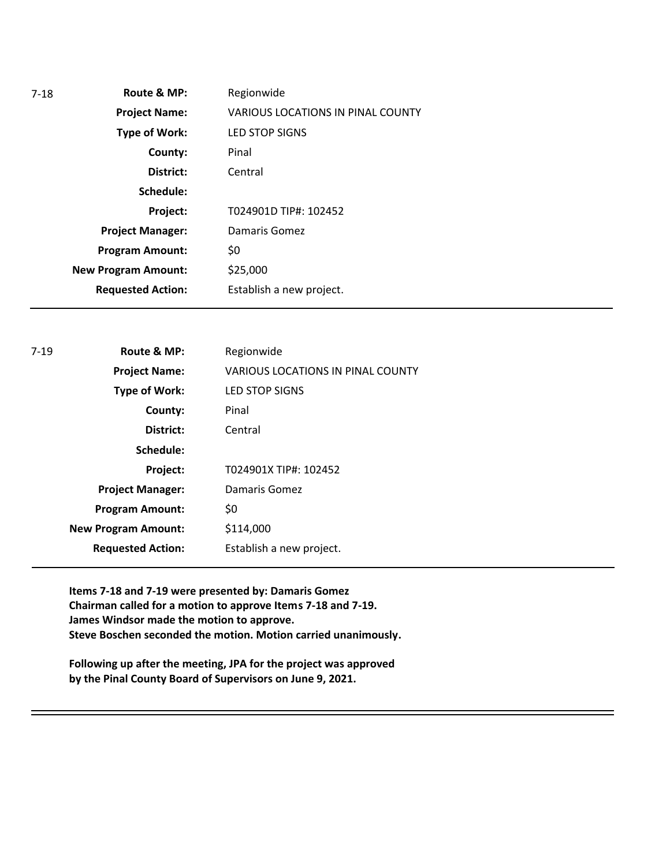| 7-18 | Route & MP:                | Regionwide                               |
|------|----------------------------|------------------------------------------|
|      | <b>Project Name:</b>       | <b>VARIOUS LOCATIONS IN PINAL COUNTY</b> |
|      | Type of Work:              | <b>LED STOP SIGNS</b>                    |
|      | County:                    | Pinal                                    |
|      | District:                  | Central                                  |
|      | Schedule:                  |                                          |
|      | Project:                   | T024901D TIP#: 102452                    |
|      | <b>Project Manager:</b>    | Damaris Gomez                            |
|      | <b>Program Amount:</b>     | \$0                                      |
|      | <b>New Program Amount:</b> | \$25,000                                 |
|      | <b>Requested Action:</b>   | Establish a new project.                 |

| $7 - 19$ | Route & MP:                | Regionwide                               |
|----------|----------------------------|------------------------------------------|
|          | <b>Project Name:</b>       | <b>VARIOUS LOCATIONS IN PINAL COUNTY</b> |
|          | Type of Work:              | <b>LED STOP SIGNS</b>                    |
|          | County:                    | Pinal                                    |
|          | District:                  | Central                                  |
|          | Schedule:                  |                                          |
|          | Project:                   | T024901X TIP#: 102452                    |
|          | <b>Project Manager:</b>    | Damaris Gomez                            |
|          | <b>Program Amount:</b>     | \$0                                      |
|          | <b>New Program Amount:</b> | \$114,000                                |
|          | <b>Requested Action:</b>   | Establish a new project.                 |
|          |                            |                                          |

**Items 7-18 and 7-19 were presented by: Damaris Gomez Chairman called for a motion to approve Items 7-18 and 7-19. James Windsor made the motion to approve. Steve Boschen seconded the motion. Motion carried unanimously.**

**Following up after the meeting, JPA for the project was approved by the Pinal County Board of Supervisors on June 9, 2021.**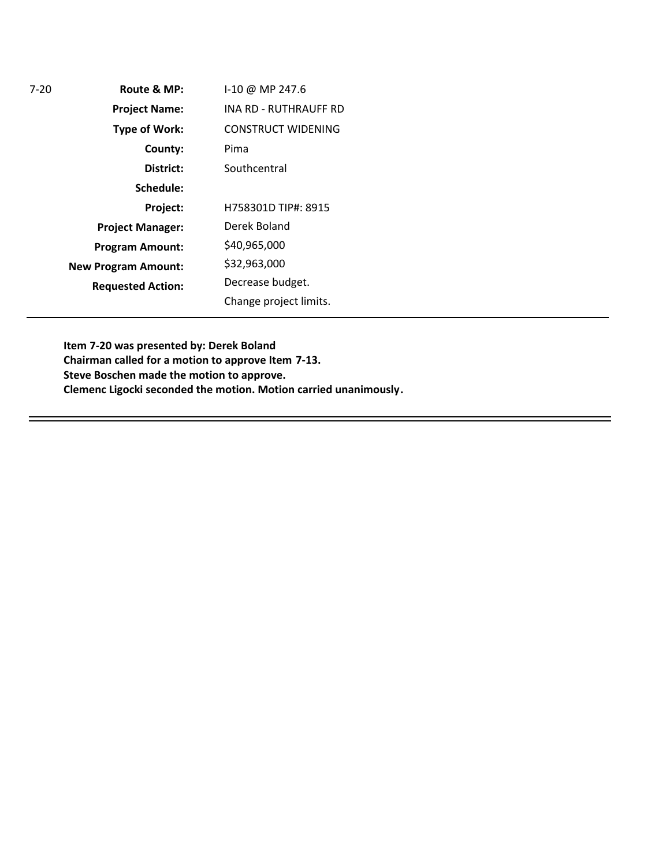**Route & MP: County: District: Schedule: Project Name: Type of Work: Project Manager: Project: Requested Action: New Program Amount:** 7-20 **Program Amount:** I-10 @ MP 247.6 INA RD - RUTHRAUFF RD CONSTRUCT WIDENING Pima **Southcentral** H758301D TIP#: 8915 Derek Boland \$40,965,000 \$32,963,000 Decrease budget. Change project limits.

> **Item 7-20 was presented by: Derek Boland Chairman called for a motion to approve Item 7-13. Steve Boschen made the motion to approve. Clemenc Ligocki seconded the motion. Motion carried unanimously.**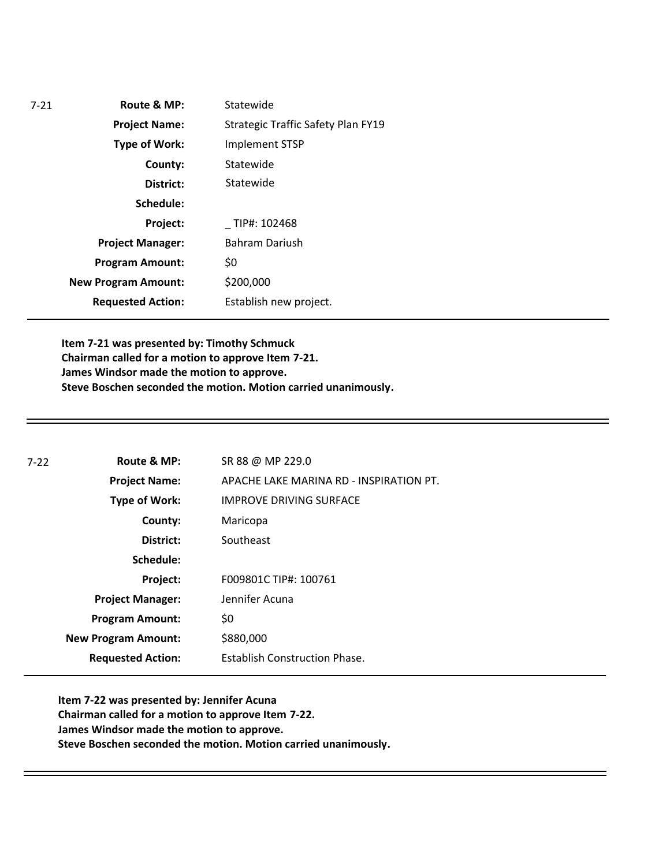| $7 - 21$ | Route & MP:                | Statewide                                 |
|----------|----------------------------|-------------------------------------------|
|          | <b>Project Name:</b>       | <b>Strategic Traffic Safety Plan FY19</b> |
|          | <b>Type of Work:</b>       | Implement STSP                            |
|          | County:                    | Statewide                                 |
|          | District:                  | Statewide                                 |
|          | Schedule:                  |                                           |
|          | Project:                   | TIP#: 102468                              |
|          | <b>Project Manager:</b>    | <b>Bahram Dariush</b>                     |
|          | <b>Program Amount:</b>     | \$0                                       |
|          | <b>New Program Amount:</b> | \$200,000                                 |
|          | <b>Requested Action:</b>   | Establish new project.                    |
|          |                            |                                           |

**Item 7-21 was presented by: Timothy Schmuck Chairman called for a motion to approve Item 7-21. James Windsor made the motion to approve. Steve Boschen seconded the motion. Motion carried unanimously.** 

| 7-22 | Route & MP:                | SR 88 @ MP 229.0                        |
|------|----------------------------|-----------------------------------------|
|      | <b>Project Name:</b>       | APACHE LAKE MARINA RD - INSPIRATION PT. |
|      | <b>Type of Work:</b>       | <b>IMPROVE DRIVING SURFACE</b>          |
|      | County:                    | Maricopa                                |
|      | District:                  | Southeast                               |
|      | Schedule:                  |                                         |
|      | Project:                   | F009801C TIP#: 100761                   |
|      | <b>Project Manager:</b>    | Jennifer Acuna                          |
|      | <b>Program Amount:</b>     | \$0                                     |
|      | <b>New Program Amount:</b> | \$880,000                               |
|      | <b>Requested Action:</b>   | <b>Establish Construction Phase.</b>    |

**Item 7-22 was presented by: Jennifer Acuna Chairman called for a motion to approve Item 7-22. James Windsor made the motion to approve. Steve Boschen seconded the motion. Motion carried unanimously.**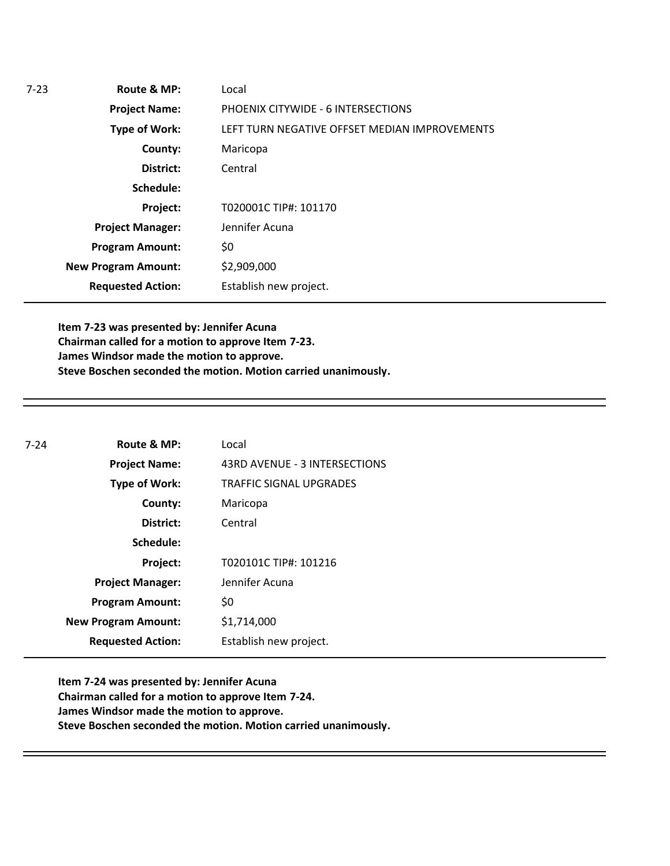| $7-23$ | Route & MP:                | Local                                         |
|--------|----------------------------|-----------------------------------------------|
|        | <b>Project Name:</b>       | PHOENIX CITYWIDE - 6 INTERSECTIONS            |
|        | Type of Work:              | LEFT TURN NEGATIVE OFFSET MEDIAN IMPROVEMENTS |
|        | County:                    | Maricopa                                      |
|        | District:                  | Central                                       |
|        | Schedule:                  |                                               |
|        | Project:                   | T020001C TIP#: 101170                         |
|        | <b>Project Manager:</b>    | Jennifer Acuna                                |
|        | <b>Program Amount:</b>     | \$0                                           |
|        | <b>New Program Amount:</b> | \$2,909,000                                   |
|        | <b>Requested Action:</b>   | Establish new project.                        |
|        |                            |                                               |

**Item 7-23 was presented by: Jennifer Acuna Chairman called for a motion to approve Item 7-23. James Windsor made the motion to approve. Steve Boschen seconded the motion. Motion carried unanimously.**

| $7 - 24$ | Route & MP:                | Local                         |
|----------|----------------------------|-------------------------------|
|          | <b>Project Name:</b>       | 43RD AVENUE - 3 INTERSECTIONS |
|          | <b>Type of Work:</b>       | TRAFFIC SIGNAL UPGRADES       |
|          | County:                    | Maricopa                      |
|          | District:                  | Central                       |
|          | Schedule:                  |                               |
|          | Project:                   | T020101C TIP#: 101216         |
|          | <b>Project Manager:</b>    | Jennifer Acuna                |
|          | <b>Program Amount:</b>     | \$0                           |
|          | <b>New Program Amount:</b> | \$1,714,000                   |
|          | <b>Requested Action:</b>   | Establish new project.        |

**Item 7-24 was presented by: Jennifer Acuna Chairman called for a motion to approve Item 7-24. James Windsor made the motion to approve. Steve Boschen seconded the motion. Motion carried unanimously.**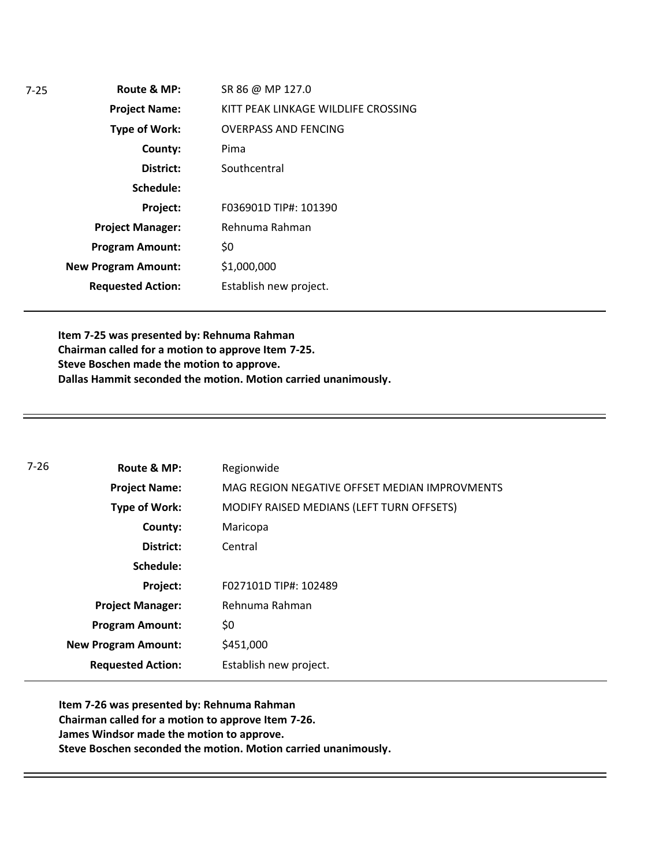| $7-25$ | Route & MP:                | SR 86 @ MP 127.0                    |
|--------|----------------------------|-------------------------------------|
|        | <b>Project Name:</b>       | KITT PEAK LINKAGE WILDLIFE CROSSING |
|        | <b>Type of Work:</b>       | <b>OVERPASS AND FENCING</b>         |
|        | County:                    | Pima                                |
|        | District:                  | Southcentral                        |
|        | Schedule:                  |                                     |
|        | Project:                   | F036901D TIP#: 101390               |
|        | <b>Project Manager:</b>    | Rehnuma Rahman                      |
|        | <b>Program Amount:</b>     | \$0                                 |
|        | <b>New Program Amount:</b> | \$1,000,000                         |
|        | <b>Requested Action:</b>   | Establish new project.              |

**Item 7-25 was presented by: Rehnuma Rahman Chairman called for a motion to approve Item 7-25. Steve Boschen made the motion to approve. Dallas Hammit seconded the motion. Motion carried unanimously.**

| $7 - 26$ | Route & MP:                | Regionwide                                    |
|----------|----------------------------|-----------------------------------------------|
|          | <b>Project Name:</b>       | MAG REGION NEGATIVE OFFSET MEDIAN IMPROVMENTS |
|          | Type of Work:              | MODIFY RAISED MEDIANS (LEFT TURN OFFSETS)     |
|          | County:                    | Maricopa                                      |
|          | District:                  | Central                                       |
|          | Schedule:                  |                                               |
|          | Project:                   | F027101D TIP#: 102489                         |
|          | <b>Project Manager:</b>    | Rehnuma Rahman                                |
|          | <b>Program Amount:</b>     | \$0                                           |
|          | <b>New Program Amount:</b> | \$451,000                                     |
|          | <b>Requested Action:</b>   | Establish new project.                        |

**Item 7-26 was presented by: Rehnuma Rahman Chairman called for a motion to approve Item 7-26. James Windsor made the motion to approve. Steve Boschen seconded the motion. Motion carried unanimously.**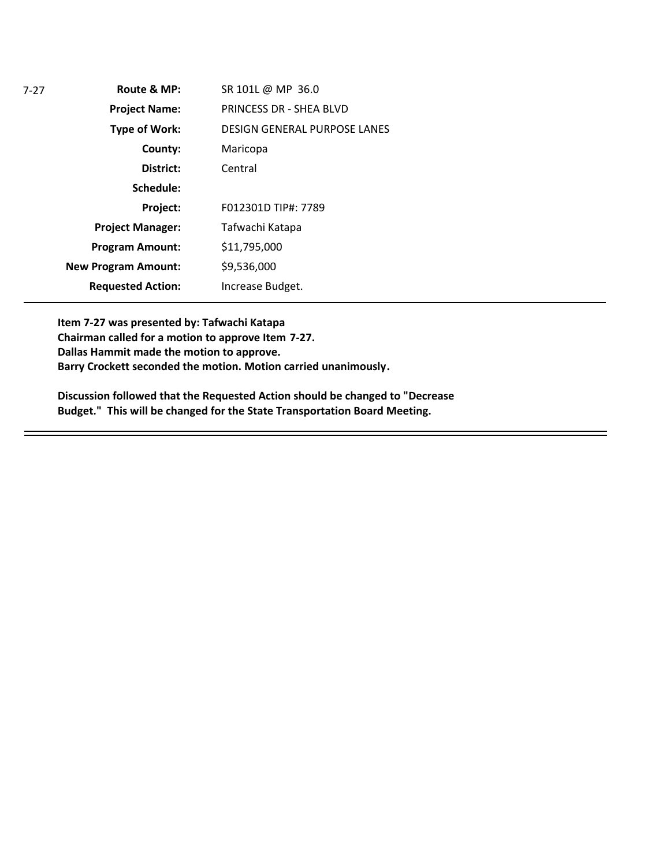| $7 - 27$ | Route & MP:                | SR 101L @ MP 36.0                   |
|----------|----------------------------|-------------------------------------|
|          | <b>Project Name:</b>       | PRINCESS DR - SHEA BLVD             |
|          | <b>Type of Work:</b>       | <b>DESIGN GENERAL PURPOSE LANES</b> |
|          | County:                    | Maricopa                            |
|          | District:                  | Central                             |
|          | Schedule:                  |                                     |
|          | Project:                   | F012301D TIP#: 7789                 |
|          | <b>Project Manager:</b>    | Tafwachi Katapa                     |
|          | <b>Program Amount:</b>     | \$11,795,000                        |
|          | <b>New Program Amount:</b> | \$9,536,000                         |
|          | <b>Requested Action:</b>   | Increase Budget.                    |

**Item 7-27 was presented by: Tafwachi Katapa Chairman called for a motion to approve Item 7-27. Dallas Hammit made the motion to approve. Barry Crockett seconded the motion. Motion carried unanimously.**

**Discussion followed that the Requested Action should be changed to "Decrease Budget." This will be changed for the State Transportation Board Meeting.**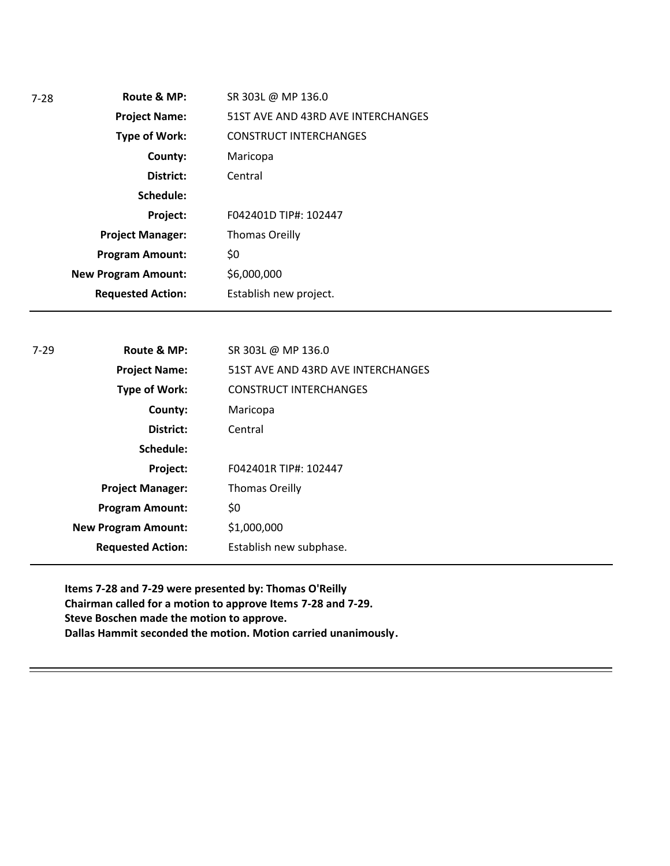| $7 - 28$ | Route & MP:                | SR 303L @ MP 136.0                 |  |
|----------|----------------------------|------------------------------------|--|
|          | <b>Project Name:</b>       | 51ST AVE AND 43RD AVE INTERCHANGES |  |
|          | Type of Work:              | <b>CONSTRUCT INTERCHANGES</b>      |  |
|          | County:                    | Maricopa                           |  |
|          | District:                  | Central                            |  |
|          | Schedule:                  |                                    |  |
|          | Project:                   | F042401D TIP#: 102447              |  |
|          | <b>Project Manager:</b>    | <b>Thomas Oreilly</b>              |  |
|          | <b>Program Amount:</b>     | \$0                                |  |
|          | <b>New Program Amount:</b> | \$6,000,000                        |  |
|          | <b>Requested Action:</b>   | Establish new project.             |  |
|          |                            |                                    |  |
| $7 - 29$ | Route & MP:                | SR 303L @ MP 136.0                 |  |
|          | <b>Project Name:</b>       | 51ST AVE AND 43RD AVE INTERCHANGES |  |
|          | <b>Type of Work:</b>       | <b>CONSTRUCT INTERCHANGES</b>      |  |
|          | County:                    | Maricopa                           |  |
|          | District:                  | Central                            |  |
|          | Schedule:                  |                                    |  |
|          | Project:                   | F042401R TIP#: 102447              |  |
|          | <b>Project Manager:</b>    | <b>Thomas Oreilly</b>              |  |
|          |                            |                                    |  |
|          | <b>Program Amount:</b>     | \$0                                |  |
|          | <b>New Program Amount:</b> | \$1,000,000                        |  |

**Items 7-28 and 7-29 were presented by: Thomas O'Reilly Chairman called for a motion to approve Items 7-28 and 7-29. Steve Boschen made the motion to approve. Dallas Hammit seconded the motion. Motion carried unanimously.**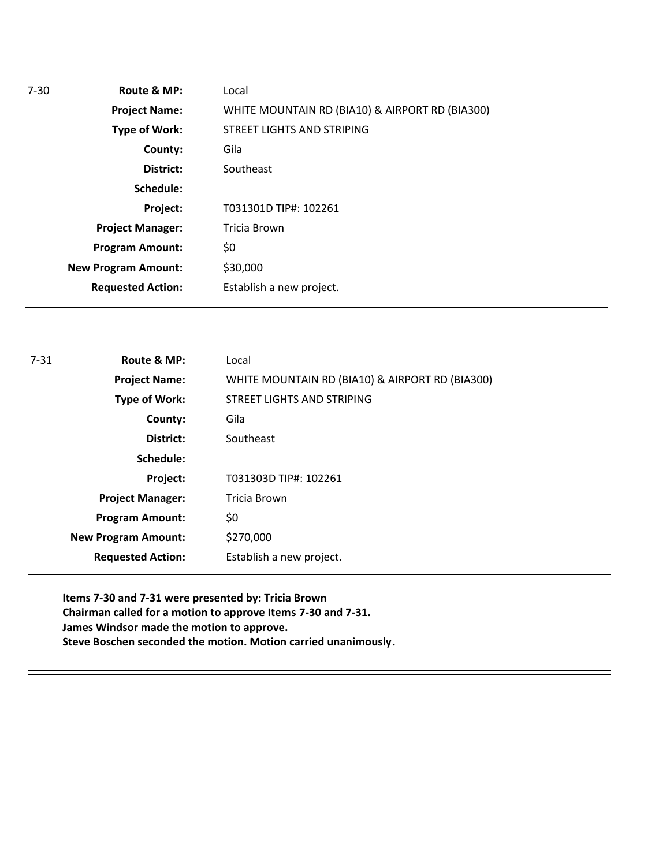| $7-30$ | Route & MP:                | Local                                           |  |
|--------|----------------------------|-------------------------------------------------|--|
|        | <b>Project Name:</b>       | WHITE MOUNTAIN RD (BIA10) & AIRPORT RD (BIA300) |  |
|        | <b>Type of Work:</b>       | STREET LIGHTS AND STRIPING                      |  |
|        | County:                    | Gila                                            |  |
|        | District:                  | Southeast                                       |  |
|        | Schedule:                  |                                                 |  |
|        | Project:                   | T031301D TIP#: 102261                           |  |
|        | <b>Project Manager:</b>    | Tricia Brown                                    |  |
|        | <b>Program Amount:</b>     | \$0                                             |  |
|        | <b>New Program Amount:</b> | \$30,000                                        |  |
|        | <b>Requested Action:</b>   | Establish a new project.                        |  |
|        |                            |                                                 |  |

| $7 - 31$ | Route & MP:                | Local                                           |
|----------|----------------------------|-------------------------------------------------|
|          | <b>Project Name:</b>       | WHITE MOUNTAIN RD (BIA10) & AIRPORT RD (BIA300) |
|          | <b>Type of Work:</b>       | STREET LIGHTS AND STRIPING                      |
|          | County:                    | Gila                                            |
|          | District:                  | Southeast                                       |
|          | Schedule:                  |                                                 |
|          | Project:                   | T031303D TIP#: 102261                           |
|          | <b>Project Manager:</b>    | Tricia Brown                                    |
|          | <b>Program Amount:</b>     | \$0                                             |
|          | <b>New Program Amount:</b> | \$270,000                                       |
|          | <b>Requested Action:</b>   | Establish a new project.                        |

**Items 7-30 and 7-31 were presented by: Tricia Brown Chairman called for a motion to approve Items 7-30 and 7-31. James Windsor made the motion to approve. Steve Boschen seconded the motion. Motion carried unanimously.**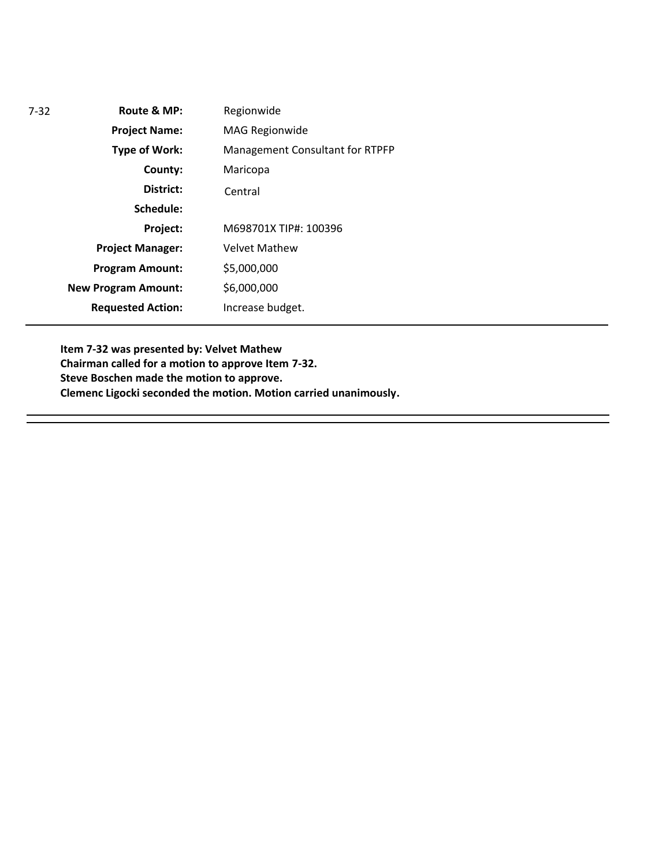| $7 - 32$ | Route & MP:                | Regionwide                      |
|----------|----------------------------|---------------------------------|
|          | <b>Project Name:</b>       | <b>MAG Regionwide</b>           |
|          | <b>Type of Work:</b>       | Management Consultant for RTPFP |
|          | County:                    | Maricopa                        |
|          | District:                  | Central                         |
|          | Schedule:                  |                                 |
|          | Project:                   | M698701X TIP#: 100396           |
|          | <b>Project Manager:</b>    | <b>Velvet Mathew</b>            |
|          | <b>Program Amount:</b>     | \$5,000,000                     |
|          | <b>New Program Amount:</b> | \$6,000,000                     |
|          | <b>Requested Action:</b>   | Increase budget.                |
|          |                            |                                 |

**Item 7-32 was presented by: Velvet Mathew Chairman called for a motion to approve Item 7-32. Steve Boschen made the motion to approve. Clemenc Ligocki seconded the motion. Motion carried unanimously.**